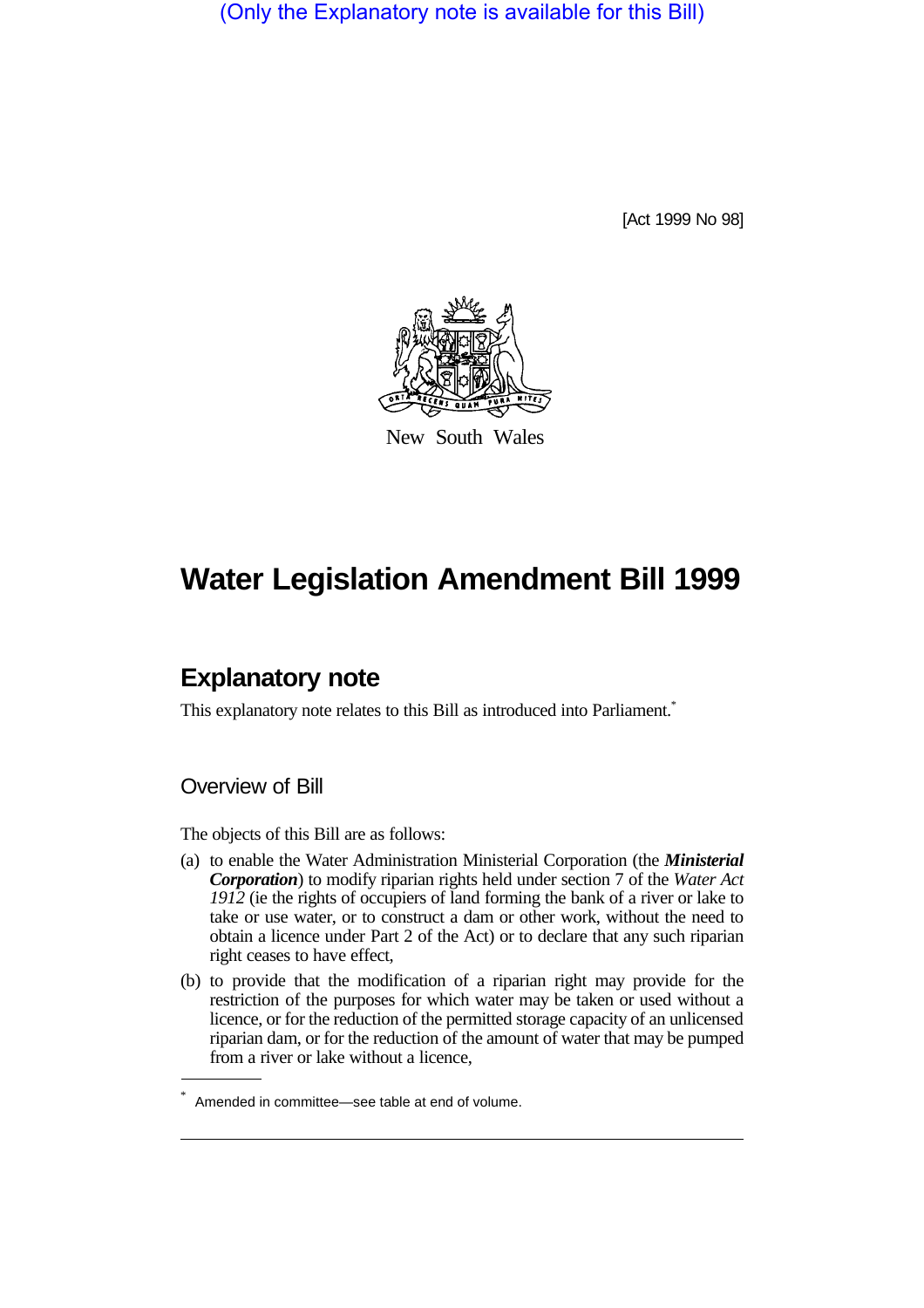(Only the Explanatory note is available for this Bill)

[Act 1999 No 98]



New South Wales

# **Water Legislation Amendment Bill 1999**

## **Explanatory note**

This explanatory note relates to this Bill as introduced into Parliament.<sup>\*</sup>

#### Overview of Bill

The objects of this Bill are as follows:

- (a) to enable the Water Administration Ministerial Corporation (the *Ministerial Corporation*) to modify riparian rights held under section 7 of the *Water Act 1912* (ie the rights of occupiers of land forming the bank of a river or lake to take or use water, or to construct a dam or other work, without the need to obtain a licence under Part 2 of the Act) or to declare that any such riparian right ceases to have effect,
- (b) to provide that the modification of a riparian right may provide for the restriction of the purposes for which water may be taken or used without a licence, or for the reduction of the permitted storage capacity of an unlicensed riparian dam, or for the reduction of the amount of water that may be pumped from a river or lake without a licence,

<sup>\*</sup> Amended in committee—see table at end of volume.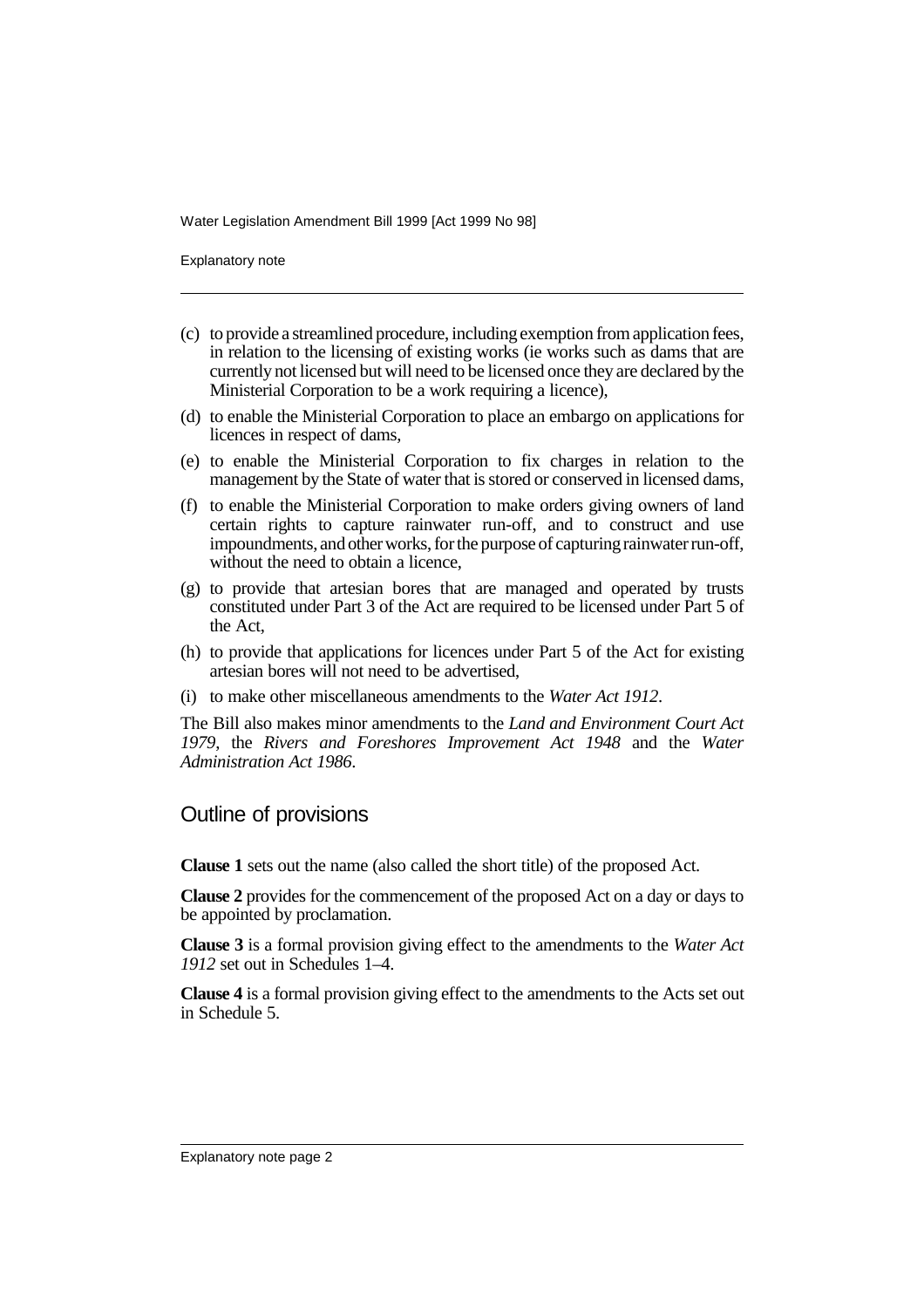Explanatory note

- (c) to provide a streamlined procedure, including exemption from application fees, in relation to the licensing of existing works (ie works such as dams that are currently not licensed but will need to be licensed once they are declared by the Ministerial Corporation to be a work requiring a licence),
- (d) to enable the Ministerial Corporation to place an embargo on applications for licences in respect of dams,
- (e) to enable the Ministerial Corporation to fix charges in relation to the management by the State of water that is stored or conserved in licensed dams,
- (f) to enable the Ministerial Corporation to make orders giving owners of land certain rights to capture rainwater run-off, and to construct and use impoundments, and other works, for the purpose of capturing rainwater run-off, without the need to obtain a licence,
- (g) to provide that artesian bores that are managed and operated by trusts constituted under Part 3 of the Act are required to be licensed under Part 5 of the Act,
- (h) to provide that applications for licences under Part 5 of the Act for existing artesian bores will not need to be advertised,
- (i) to make other miscellaneous amendments to the *Water Act 1912*.

The Bill also makes minor amendments to the *Land and Environment Court Act 1979*, the *Rivers and Foreshores Improvement Act 1948* and the *Water Administration Act 1986*.

#### Outline of provisions

**Clause 1** sets out the name (also called the short title) of the proposed Act.

**Clause 2** provides for the commencement of the proposed Act on a day or days to be appointed by proclamation.

**Clause 3** is a formal provision giving effect to the amendments to the *Water Act 1912* set out in Schedules 1–4.

**Clause 4** is a formal provision giving effect to the amendments to the Acts set out in Schedule 5.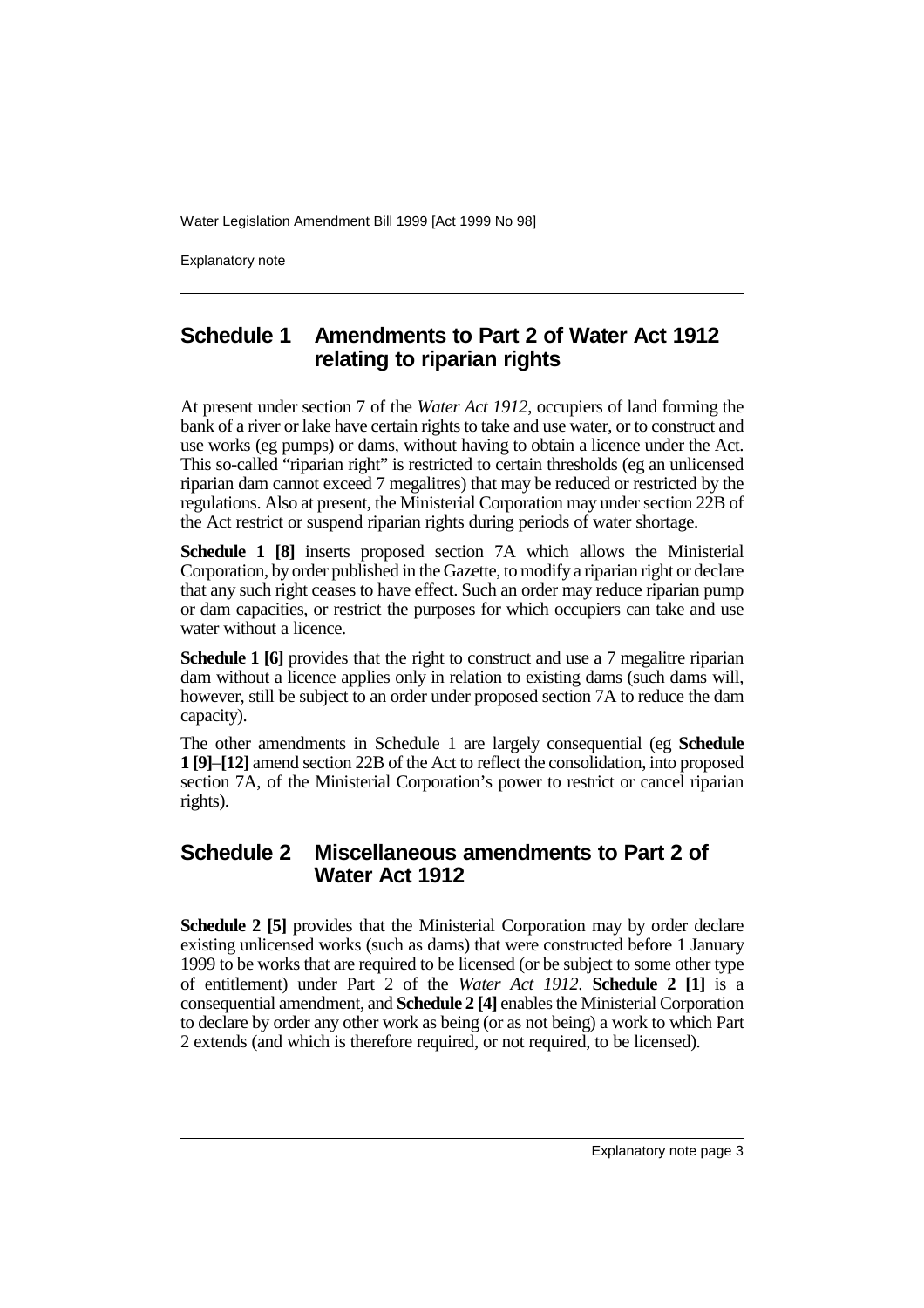Explanatory note

## **Schedule 1 Amendments to Part 2 of Water Act 1912 relating to riparian rights**

At present under section 7 of the *Water Act 1912*, occupiers of land forming the bank of a river or lake have certain rights to take and use water, or to construct and use works (eg pumps) or dams, without having to obtain a licence under the Act. This so-called "riparian right" is restricted to certain thresholds (eg an unlicensed riparian dam cannot exceed 7 megalitres) that may be reduced or restricted by the regulations. Also at present, the Ministerial Corporation may under section 22B of the Act restrict or suspend riparian rights during periods of water shortage.

**Schedule 1 [8]** inserts proposed section 7A which allows the Ministerial Corporation, by order published in the Gazette, to modify a riparian right or declare that any such right ceases to have effect. Such an order may reduce riparian pump or dam capacities, or restrict the purposes for which occupiers can take and use water without a licence.

**Schedule 1 [6]** provides that the right to construct and use a 7 megalitre riparian dam without a licence applies only in relation to existing dams (such dams will, however, still be subject to an order under proposed section 7A to reduce the dam capacity).

The other amendments in Schedule 1 are largely consequential (eg **Schedule 1 [9]**–**[12]** amend section 22B of the Act to reflect the consolidation, into proposed section 7A, of the Ministerial Corporation's power to restrict or cancel riparian rights).

### **Schedule 2 Miscellaneous amendments to Part 2 of Water Act 1912**

**Schedule 2 [5]** provides that the Ministerial Corporation may by order declare existing unlicensed works (such as dams) that were constructed before 1 January 1999 to be works that are required to be licensed (or be subject to some other type of entitlement) under Part 2 of the *Water Act 1912*. **Schedule 2 [1]** is a consequential amendment, and **Schedule 2 [4]** enables the Ministerial Corporation to declare by order any other work as being (or as not being) a work to which Part 2 extends (and which is therefore required, or not required, to be licensed).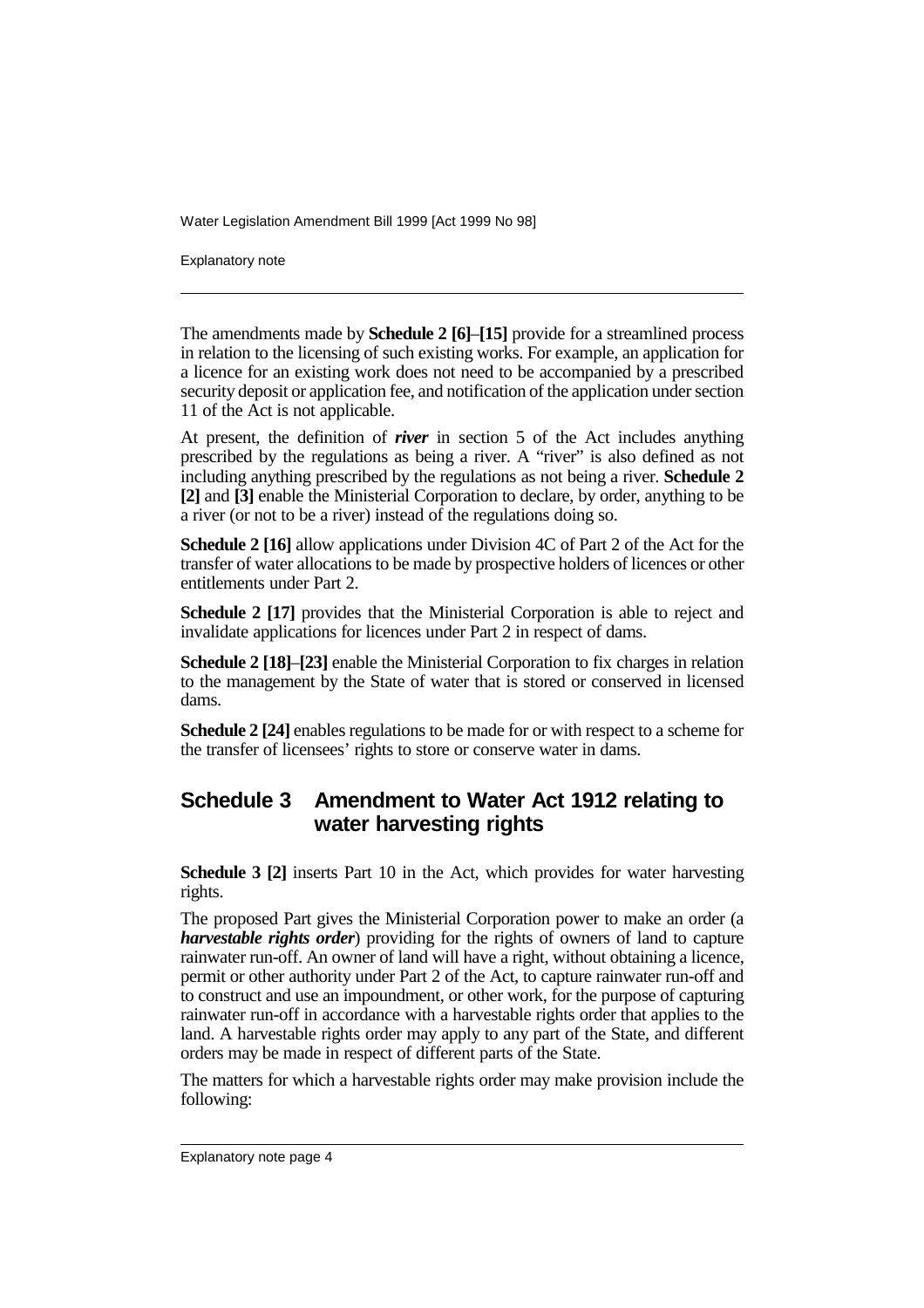Explanatory note

The amendments made by **Schedule 2 [6]**–**[15]** provide for a streamlined process in relation to the licensing of such existing works. For example, an application for a licence for an existing work does not need to be accompanied by a prescribed security deposit or application fee, and notification of the application under section 11 of the Act is not applicable.

At present, the definition of *river* in section 5 of the Act includes anything prescribed by the regulations as being a river. A "river" is also defined as not including anything prescribed by the regulations as not being a river. **Schedule 2 [2]** and **[3]** enable the Ministerial Corporation to declare, by order, anything to be a river (or not to be a river) instead of the regulations doing so.

**Schedule 2 [16]** allow applications under Division 4C of Part 2 of the Act for the transfer of water allocations to be made by prospective holders of licences or other entitlements under Part 2.

**Schedule 2 [17]** provides that the Ministerial Corporation is able to reject and invalidate applications for licences under Part 2 in respect of dams.

**Schedule 2 [18]**–**[23]** enable the Ministerial Corporation to fix charges in relation to the management by the State of water that is stored or conserved in licensed dams.

**Schedule 2 [24]** enables regulations to be made for or with respect to a scheme for the transfer of licensees' rights to store or conserve water in dams.

### **Schedule 3 Amendment to Water Act 1912 relating to water harvesting rights**

**Schedule 3 [2]** inserts Part 10 in the Act, which provides for water harvesting rights.

The proposed Part gives the Ministerial Corporation power to make an order (a *harvestable rights order*) providing for the rights of owners of land to capture rainwater run-off. An owner of land will have a right, without obtaining a licence, permit or other authority under Part 2 of the Act, to capture rainwater run-off and to construct and use an impoundment, or other work, for the purpose of capturing rainwater run-off in accordance with a harvestable rights order that applies to the land. A harvestable rights order may apply to any part of the State, and different orders may be made in respect of different parts of the State.

The matters for which a harvestable rights order may make provision include the following: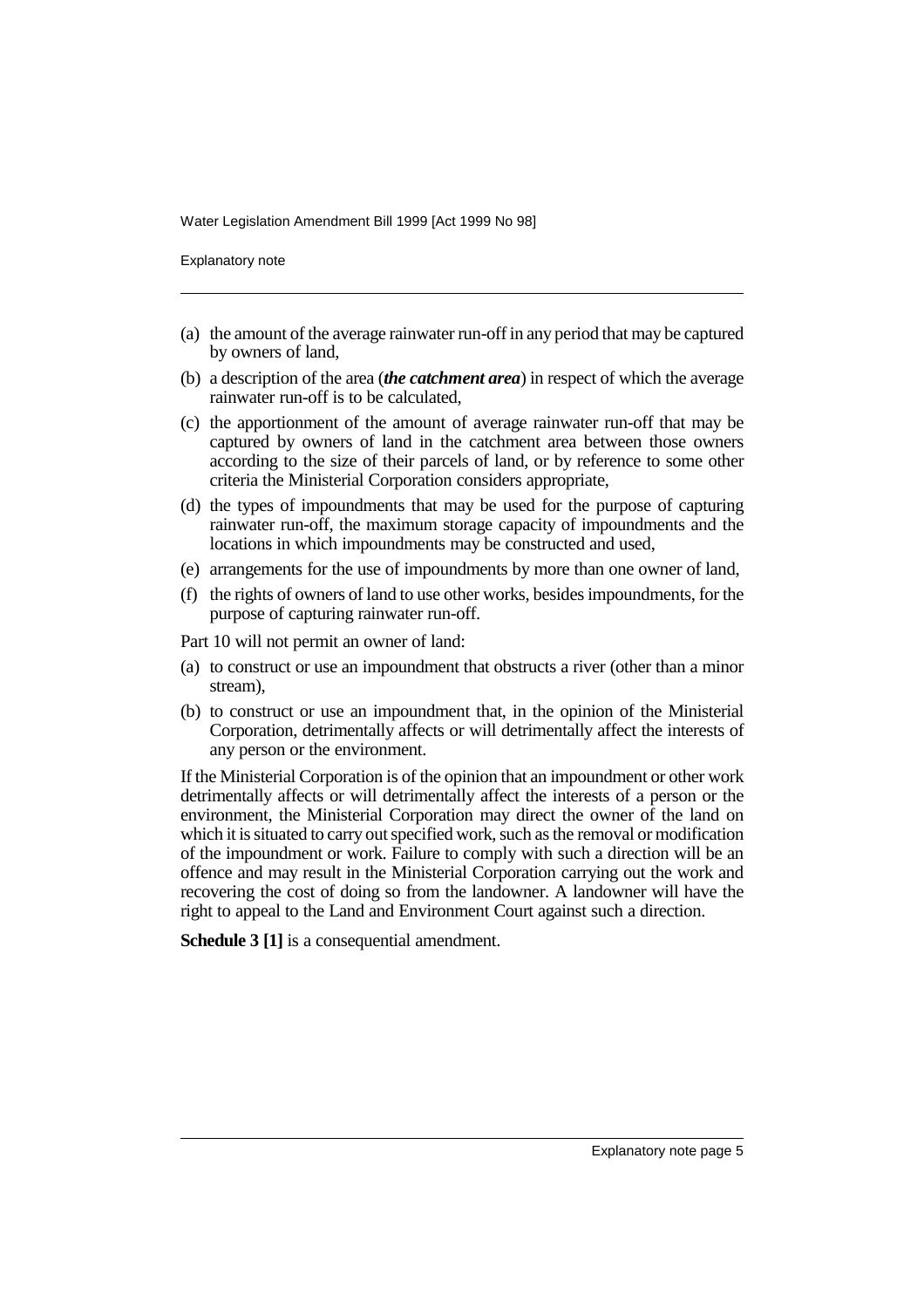Explanatory note

- (a) the amount of the average rainwater run-off in any period that may be captured by owners of land,
- (b) a description of the area (*the catchment area*) in respect of which the average rainwater run-off is to be calculated,
- (c) the apportionment of the amount of average rainwater run-off that may be captured by owners of land in the catchment area between those owners according to the size of their parcels of land, or by reference to some other criteria the Ministerial Corporation considers appropriate,
- (d) the types of impoundments that may be used for the purpose of capturing rainwater run-off, the maximum storage capacity of impoundments and the locations in which impoundments may be constructed and used,
- (e) arrangements for the use of impoundments by more than one owner of land,
- (f) the rights of owners of land to use other works, besides impoundments, for the purpose of capturing rainwater run-off.

Part 10 will not permit an owner of land:

- (a) to construct or use an impoundment that obstructs a river (other than a minor stream),
- (b) to construct or use an impoundment that, in the opinion of the Ministerial Corporation, detrimentally affects or will detrimentally affect the interests of any person or the environment.

If the Ministerial Corporation is of the opinion that an impoundment or other work detrimentally affects or will detrimentally affect the interests of a person or the environment, the Ministerial Corporation may direct the owner of the land on which it is situated to carry out specified work, such as the removal or modification of the impoundment or work. Failure to comply with such a direction will be an offence and may result in the Ministerial Corporation carrying out the work and recovering the cost of doing so from the landowner. A landowner will have the right to appeal to the Land and Environment Court against such a direction.

**Schedule 3 [1]** is a consequential amendment.